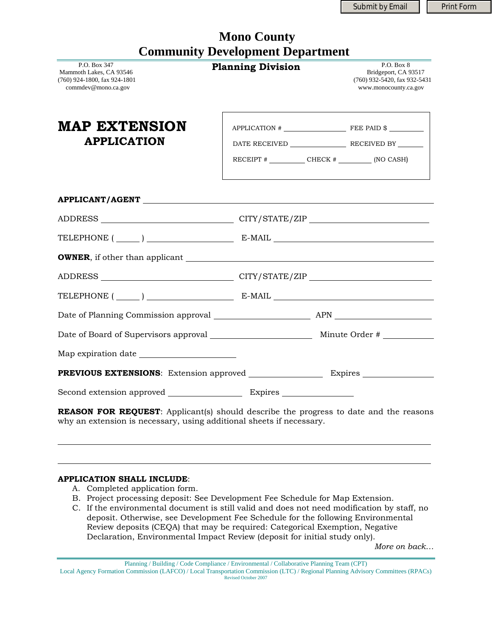Submit by Email | Print Form

|                                         | <b>Mono County</b> |  |
|-----------------------------------------|--------------------|--|
| <b>Community Development Department</b> |                    |  |

| P.O. Box 347<br>Mammoth Lakes, CA 93546<br>$(760)$ 924-1800, fax 924-1801<br>commdev@mono.ca.gov | Сонницину Бетскорикит Берагинсит<br><b>Planning Division</b>                                                                                                                                                   | P.O. Box 8<br>Bridgeport, CA 93517<br>$(760)$ 932-5420, fax 932-5431<br>www.monocounty.ca.gov |
|--------------------------------------------------------------------------------------------------|----------------------------------------------------------------------------------------------------------------------------------------------------------------------------------------------------------------|-----------------------------------------------------------------------------------------------|
| <b>MAP EXTENSION</b><br><b>APPLICATION</b>                                                       | $APPLICATION$ $\#$ FEE PAID $\$<br>RECEIPT # ________________ CHECK # __________ (NO CASH)<br>and the control of the control of the control of the control of the control of the control of the control of the |                                                                                               |
|                                                                                                  |                                                                                                                                                                                                                |                                                                                               |
|                                                                                                  |                                                                                                                                                                                                                |                                                                                               |
|                                                                                                  |                                                                                                                                                                                                                |                                                                                               |
|                                                                                                  |                                                                                                                                                                                                                |                                                                                               |
|                                                                                                  |                                                                                                                                                                                                                |                                                                                               |
| TELEPHONE $(\_\_)$ $\_\_$ E-MAIL $\_\_$                                                          |                                                                                                                                                                                                                |                                                                                               |
|                                                                                                  |                                                                                                                                                                                                                |                                                                                               |
|                                                                                                  |                                                                                                                                                                                                                |                                                                                               |
|                                                                                                  |                                                                                                                                                                                                                |                                                                                               |
|                                                                                                  |                                                                                                                                                                                                                |                                                                                               |
|                                                                                                  |                                                                                                                                                                                                                |                                                                                               |

**REASON FOR REQUEST**: Applicant(s) should describe the progress to date and the reasons why an extension is necessary, using additional sheets if necessary.

## **APPLICATION SHALL INCLUDE**:

- A. Completed application form.
- B. Project processing deposit: See Development Fee Schedule for Map Extension.
- C. If the environmental document is still valid and does not need modification by staff, no deposit. Otherwise, see Development Fee Schedule for the following Environmental Review deposits (CEQA) that may be required: Categorical Exemption, Negative Declaration, Environmental Impact Review (deposit for initial study only).

*More on back…*